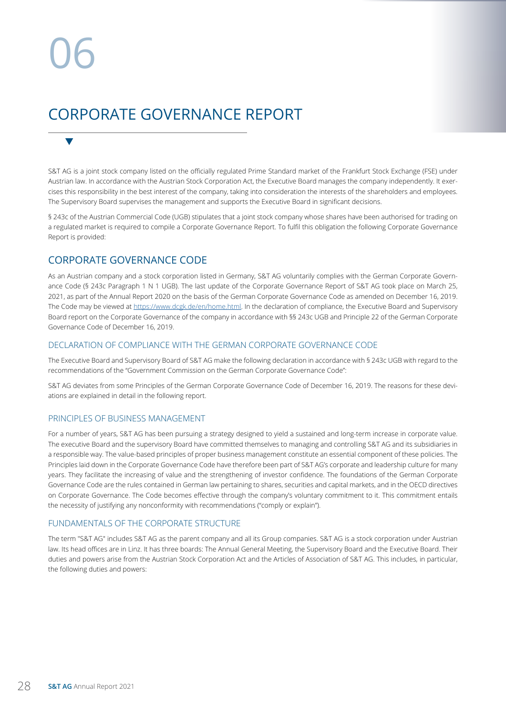$\blacktriangledown$ 

## CORPORATE GOVERNANCE REPORT

S&T AG is a joint stock company listed on the officially regulated Prime Standard market of the Frankfurt Stock Exchange (FSE) under Austrian law. In accordance with the Austrian Stock Corporation Act, the Executive Board manages the company independently. It exercises this responsibility in the best interest of the company, taking into consideration the interests of the shareholders and employees. The Supervisory Board supervises the management and supports the Executive Board in significant decisions.

§ 243c of the Austrian Commercial Code (UGB) stipulates that a joint stock company whose shares have been authorised for trading on a regulated market is required to compile a Corporate Governance Report. To fulfil this obligation the following Corporate Governance Report is provided:

## CORPORATE GOVERNANCE CODE

As an Austrian company and a stock corporation listed in Germany, S&T AG voluntarily complies with the German Corporate Governance Code (§ 243c Paragraph 1 N 1 UGB). The last update of the Corporate Governance Report of S&T AG took place on March 25, 2021, as part of the Annual Report 2020 on the basis of the German Corporate Governance Code as amended on December 16, 2019. The Code may be viewed at https://www.dcgk.de/en/home.html. In the declaration of compliance, the Executive Board and Supervisory Board report on the Corporate Governance of the company in accordance with §§ 243c UGB and Principle 22 of the German Corporate Governance Code of December 16, 2019.

### DECLARATION OF COMPLIANCE WITH THE GERMAN CORPORATE GOVERNANCE CODE

The Executive Board and Supervisory Board of S&T AG make the following declaration in accordance with § 243c UGB with regard to the recommendations of the "Government Commission on the German Corporate Governance Code":

S&T AG deviates from some Principles of the German Corporate Governance Code of December 16, 2019. The reasons for these deviations are explained in detail in the following report.

### PRINCIPLES OF BUSINESS MANAGEMENT

For a number of years, S&T AG has been pursuing a strategy designed to yield a sustained and long-term increase in corporate value. The executive Board and the supervisory Board have committed themselves to managing and controlling S&T AG and its subsidiaries in a responsible way. The value-based principles of proper business management constitute an essential component of these policies. The Principles laid down in the Corporate Governance Code have therefore been part of S&T AG's corporate and leadership culture for many years. They facilitate the increasing of value and the strengthening of investor confidence. The foundations of the German Corporate Governance Code are the rules contained in German law pertaining to shares, securities and capital markets, and in the OECD directives on Corporate Governance. The Code becomes effective through the company's voluntary commitment to it. This commitment entails the necessity of justifying any nonconformity with recommendations ("comply or explain").

## FUNDAMENTALS OF THE CORPORATE STRUCTURE

The term "S&T AG" includes S&T AG as the parent company and all its Group companies. S&T AG is a stock corporation under Austrian law. Its head offices are in Linz. It has three boards: The Annual General Meeting, the Supervisory Board and the Executive Board. Their duties and powers arise from the Austrian Stock Corporation Act and the Articles of Association of S&T AG. This includes, in particular, the following duties and powers: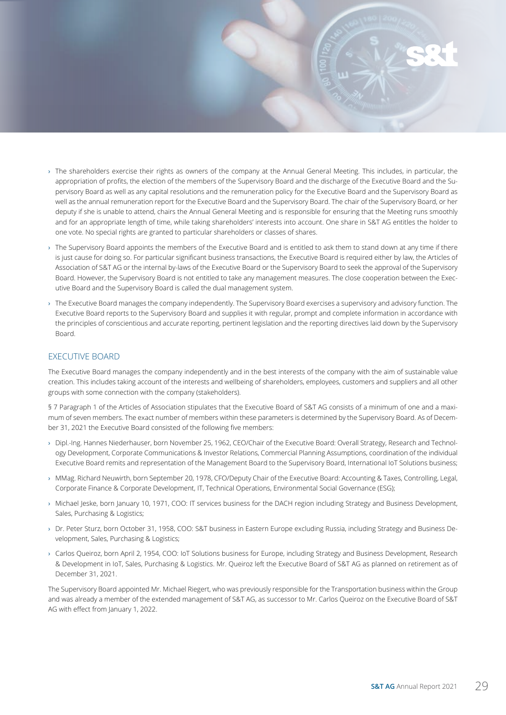- › The shareholders exercise their rights as owners of the company at the Annual General Meeting. This includes, in particular, the appropriation of profits, the election of the members of the Supervisory Board and the discharge of the Executive Board and the Supervisory Board as well as any capital resolutions and the remuneration policy for the Executive Board and the Supervisory Board as well as the annual remuneration report for the Executive Board and the Supervisory Board. The chair of the Supervisory Board, or her deputy if she is unable to attend, chairs the Annual General Meeting and is responsible for ensuring that the Meeting runs smoothly and for an appropriate length of time, while taking shareholders' interests into account. One share in S&T AG entitles the holder to one vote. No special rights are granted to particular shareholders or classes of shares.
- › The Supervisory Board appoints the members of the Executive Board and is entitled to ask them to stand down at any time if there is just cause for doing so. For particular significant business transactions, the Executive Board is required either by law, the Articles of Association of S&T AG or the internal by-laws of the Executive Board or the Supervisory Board to seek the approval of the Supervisory Board. However, the Supervisory Board is not entitled to take any management measures. The close cooperation between the Executive Board and the Supervisory Board is called the dual management system.
- › The Executive Board manages the company independently. The Supervisory Board exercises a supervisory and advisory function. The Executive Board reports to the Supervisory Board and supplies it with regular, prompt and complete information in accordance with the principles of conscientious and accurate reporting, pertinent legislation and the reporting directives laid down by the Supervisory Board.

### EXECUTIVE BOARD

The Executive Board manages the company independently and in the best interests of the company with the aim of sustainable value creation. This includes taking account of the interests and wellbeing of shareholders, employees, customers and suppliers and all other groups with some connection with the company (stakeholders).

§ 7 Paragraph 1 of the Articles of Association stipulates that the Executive Board of S&T AG consists of a minimum of one and a maximum of seven members. The exact number of members within these parameters is determined by the Supervisory Board. As of December 31, 2021 the Executive Board consisted of the following five members:

- › Dipl.-Ing. Hannes Niederhauser, born November 25, 1962, CEO/Chair of the Executive Board: Overall Strategy, Research and Technology Development, Corporate Communications & Investor Relations, Commercial Planning Assumptions, coordination of the individual Executive Board remits and representation of the Management Board to the Supervisory Board, International IoT Solutions business;
- › MMag. Richard Neuwirth, born September 20, 1978, CFO/Deputy Chair of the Executive Board: Accounting & Taxes, Controlling, Legal, Corporate Finance & Corporate Development, IT, Technical Operations, Environmental Social Governance (ESG);
- › Michael Jeske, born January 10, 1971, COO: IT services business for the DACH region including Strategy and Business Development, Sales, Purchasing & Logistics;
- › Dr. Peter Sturz, born October 31, 1958, COO: S&T business in Eastern Europe excluding Russia, including Strategy and Business Development, Sales, Purchasing & Logistics;
- › Carlos Queiroz, born April 2, 1954, COO: IoT Solutions business for Europe, including Strategy and Business Development, Research & Development in IoT, Sales, Purchasing & Logistics. Mr. Queiroz left the Executive Board of S&T AG as planned on retirement as of December 31, 2021.

The Supervisory Board appointed Mr. Michael Riegert, who was previously responsible for the Transportation business within the Group and was already a member of the extended management of S&T AG, as successor to Mr. Carlos Queiroz on the Executive Board of S&T AG with effect from January 1, 2022.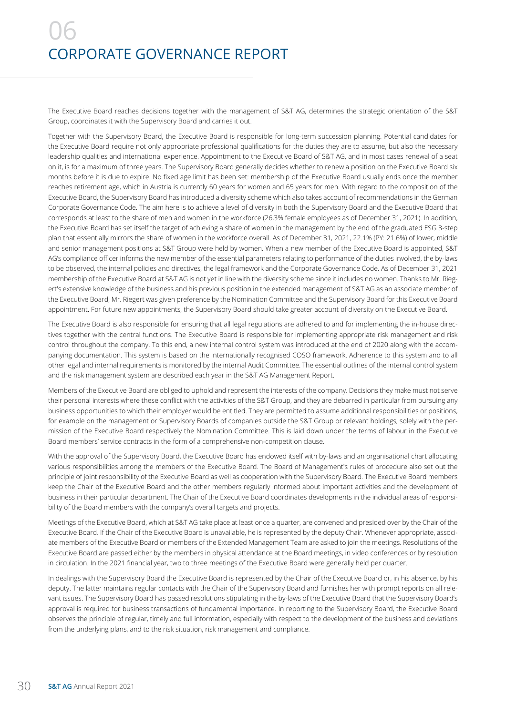# 06 CORPORATE GOVERNANCE REPORT

The Executive Board reaches decisions together with the management of S&T AG, determines the strategic orientation of the S&T Group, coordinates it with the Supervisory Board and carries it out.

Together with the Supervisory Board, the Executive Board is responsible for long-term succession planning. Potential candidates for the Executive Board require not only appropriate professional qualifications for the duties they are to assume, but also the necessary leadership qualities and international experience. Appointment to the Executive Board of S&T AG, and in most cases renewal of a seat on it, is for a maximum of three years. The Supervisory Board generally decides whether to renew a position on the Executive Board six months before it is due to expire. No fixed age limit has been set: membership of the Executive Board usually ends once the member reaches retirement age, which in Austria is currently 60 years for women and 65 years for men. With regard to the composition of the Executive Board, the Supervisory Board has introduced a diversity scheme which also takes account of recommendations in the German Corporate Governance Code. The aim here is to achieve a level of diversity in both the Supervisory Board and the Executive Board that corresponds at least to the share of men and women in the workforce (26,3% female employees as of December 31, 2021). In addition, the Executive Board has set itself the target of achieving a share of women in the management by the end of the graduated ESG 3-step plan that essentially mirrors the share of women in the workforce overall. As of December 31, 2021, 22.1% (PY: 21.6%) of lower, middle and senior management positions at S&T Group were held by women. When a new member of the Executive Board is appointed, S&T AG's compliance officer informs the new member of the essential parameters relating to performance of the duties involved, the by-laws to be observed, the internal policies and directives, the legal framework and the Corporate Governance Code. As of December 31, 2021 membership of the Executive Board at S&T AG is not yet in line with the diversity scheme since it includes no women. Thanks to Mr. Riegert's extensive knowledge of the business and his previous position in the extended management of S&T AG as an associate member of the Executive Board, Mr. Riegert was given preference by the Nomination Committee and the Supervisory Board for this Executive Board appointment. For future new appointments, the Supervisory Board should take greater account of diversity on the Executive Board.

The Executive Board is also responsible for ensuring that all legal regulations are adhered to and for implementing the in-house directives together with the central functions. The Executive Board is responsible for implementing appropriate risk management and risk control throughout the company. To this end, a new internal control system was introduced at the end of 2020 along with the accompanying documentation. This system is based on the internationally recognised COSO framework. Adherence to this system and to all other legal and internal requirements is monitored by the internal Audit Committee. The essential outlines of the internal control system and the risk management system are described each year in the S&T AG Management Report.

Members of the Executive Board are obliged to uphold and represent the interests of the company. Decisions they make must not serve their personal interests where these conflict with the activities of the S&T Group, and they are debarred in particular from pursuing any business opportunities to which their employer would be entitled. They are permitted to assume additional responsibilities or positions, for example on the management or Supervisory Boards of companies outside the S&T Group or relevant holdings, solely with the permission of the Executive Board respectively the Nomination Committee. This is laid down under the terms of labour in the Executive Board members' service contracts in the form of a comprehensive non-competition clause.

With the approval of the Supervisory Board, the Executive Board has endowed itself with by-laws and an organisational chart allocating various responsibilities among the members of the Executive Board. The Board of Management's rules of procedure also set out the principle of joint responsibility of the Executive Board as well as cooperation with the Supervisory Board. The Executive Board members keep the Chair of the Executive Board and the other members regularly informed about important activities and the development of business in their particular department. The Chair of the Executive Board coordinates developments in the individual areas of responsibility of the Board members with the company's overall targets and projects.

Meetings of the Executive Board, which at S&T AG take place at least once a quarter, are convened and presided over by the Chair of the Executive Board. If the Chair of the Executive Board is unavailable, he is represented by the deputy Chair. Whenever appropriate, associate members of the Executive Board or members of the Extended Management Team are asked to join the meetings. Resolutions of the Executive Board are passed either by the members in physical attendance at the Board meetings, in video conferences or by resolution in circulation. In the 2021 financial year, two to three meetings of the Executive Board were generally held per quarter.

In dealings with the Supervisory Board the Executive Board is represented by the Chair of the Executive Board or, in his absence, by his deputy. The latter maintains regular contacts with the Chair of the Supervisory Board and furnishes her with prompt reports on all relevant issues. The Supervisory Board has passed resolutions stipulating in the by-laws of the Executive Board that the Supervisory Board's approval is required for business transactions of fundamental importance. In reporting to the Supervisory Board, the Executive Board observes the principle of regular, timely and full information, especially with respect to the development of the business and deviations from the underlying plans, and to the risk situation, risk management and compliance.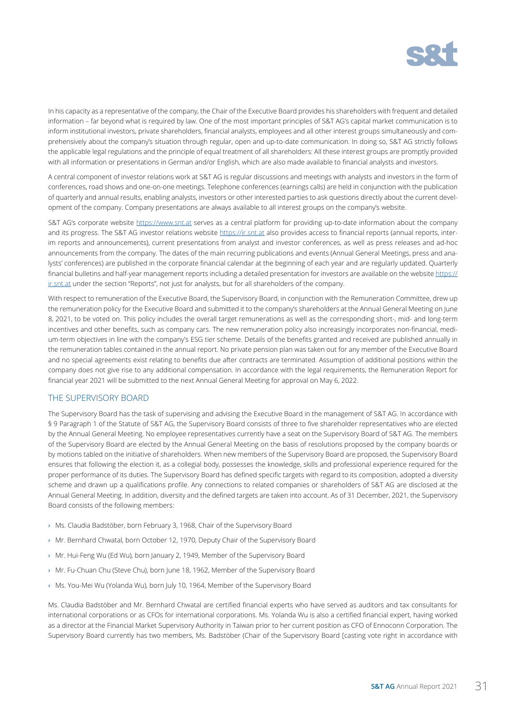

In his capacity as a representative of the company, the Chair of the Executive Board provides his shareholders with frequent and detailed information – far beyond what is required by law. One of the most important principles of S&T AG's capital market communication is to inform institutional investors, private shareholders, financial analysts, employees and all other interest groups simultaneously and comprehensively about the company's situation through regular, open and up-to-date communication. In doing so, S&T AG strictly follows the applicable legal regulations and the principle of equal treatment of all shareholders: All these interest groups are promptly provided with all information or presentations in German and/or English, which are also made available to financial analysts and investors.

A central component of investor relations work at S&T AG is regular discussions and meetings with analysts and investors in the form of conferences, road shows and one-on-one meetings. Telephone conferences (earnings calls) are held in conjunction with the publication of quarterly and annual results, enabling analysts, investors or other interested parties to ask questions directly about the current development of the company. Company presentations are always available to all interest groups on the company's website.

S&T AG's corporate website https://www.snt.at serves as a central platform for providing up-to-date information about the company and its progress. The S&T AG investor relations website https://ir.snt.at also provides access to financial reports (annual reports, interim reports and announcements), current presentations from analyst and investor conferences, as well as press releases and ad-hoc announcements from the company. The dates of the main recurring publications and events (Annual General Meetings, press and analysts' conferences) are published in the corporate financial calendar at the beginning of each year and are regularly updated. Quarterly financial bulletins and half-year management reports including a detailed presentation for investors are available on the website https:// ir.snt.at under the section "Reports", not just for analysts, but for all shareholders of the company.

With respect to remuneration of the Executive Board, the Supervisory Board, in conjunction with the Remuneration Committee, drew up the remuneration policy for the Executive Board and submitted it to the company's shareholders at the Annual General Meeting on June 8, 2021, to be voted on. This policy includes the overall target remunerations as well as the corresponding short-, mid- and long-term incentives and other benefits, such as company cars. The new remuneration policy also increasingly incorporates non-financial, medium-term objectives in line with the company's ESG tier scheme. Details of the benefits granted and received are published annually in the remuneration tables contained in the annual report. No private pension plan was taken out for any member of the Executive Board and no special agreements exist relating to benefits due after contracts are terminated. Assumption of additional positions within the company does not give rise to any additional compensation. In accordance with the legal requirements, the Remuneration Report for financial year 2021 will be submitted to the next Annual General Meeting for approval on May 6, 2022.

### THE SUPERVISORY BOARD

The Supervisory Board has the task of supervising and advising the Executive Board in the management of S&T AG. In accordance with § 9 Paragraph 1 of the Statute of S&T AG, the Supervisory Board consists of three to five shareholder representatives who are elected by the Annual General Meeting. No employee representatives currently have a seat on the Supervisory Board of S&T AG. The members of the Supervisory Board are elected by the Annual General Meeting on the basis of resolutions proposed by the company boards or by motions tabled on the initiative of shareholders. When new members of the Supervisory Board are proposed, the Supervisory Board ensures that following the election it, as a collegial body, possesses the knowledge, skills and professional experience required for the proper performance of its duties. The Supervisory Board has defined specific targets with regard to its composition, adopted a diversity scheme and drawn up a qualifications profile. Any connections to related companies or shareholders of S&T AG are disclosed at the Annual General Meeting. In addition, diversity and the defined targets are taken into account. As of 31 December, 2021, the Supervisory Board consists of the following members:

- › Ms. Claudia Badstöber, born February 3, 1968, Chair of the Supervisory Board
- › Mr. Bernhard Chwatal, born October 12, 1970, Deputy Chair of the Supervisory Board
- › Mr. Hui-Feng Wu (Ed Wu), born January 2, 1949, Member of the Supervisory Board
- › Mr. Fu-Chuan Chu (Steve Chu), born June 18, 1962, Member of the Supervisory Board
- › Ms. You-Mei Wu (Yolanda Wu), born July 10, 1964, Member of the Supervisory Board

Ms. Claudia Badstöber and Mr. Bernhard Chwatal are certified financial experts who have served as auditors and tax consultants for international corporations or as CFOs for international corporations. Ms. Yolanda Wu is also a certified financial expert, having worked as a director at the Financial Market Supervisory Authority in Taiwan prior to her current position as CFO of Ennoconn Corporation. The Supervisory Board currently has two members, Ms. Badstöber (Chair of the Supervisory Board [casting vote right in accordance with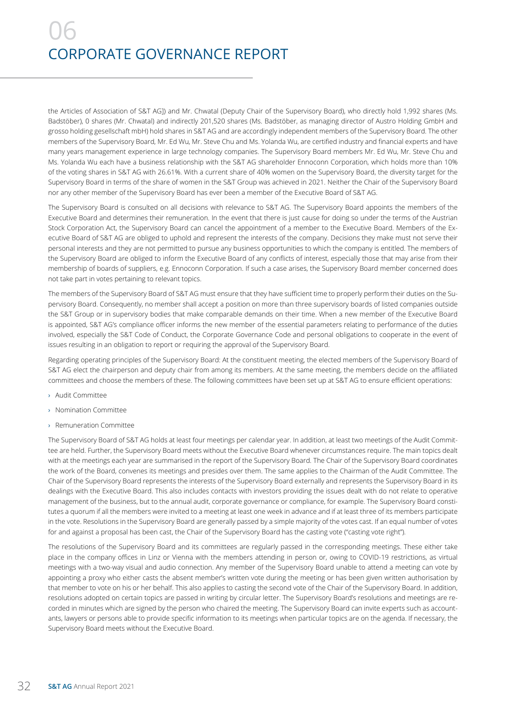# 06 CORPORATE GOVERNANCE REPORT

the Articles of Association of S&T AG]) and Mr. Chwatal (Deputy Chair of the Supervisory Board), who directly hold 1,992 shares (Ms. Badstöber), 0 shares (Mr. Chwatal) and indirectly 201,520 shares (Ms. Badstöber, as managing director of Austro Holding GmbH and grosso holding gesellschaft mbH) hold shares in S&T AG and are accordingly independent members of the Supervisory Board. The other members of the Supervisory Board, Mr. Ed Wu, Mr. Steve Chu and Ms. Yolanda Wu, are certified industry and financial experts and have many years management experience in large technology companies. The Supervisory Board members Mr. Ed Wu, Mr. Steve Chu and Ms. Yolanda Wu each have a business relationship with the S&T AG shareholder Ennoconn Corporation, which holds more than 10% of the voting shares in S&T AG with 26.61%. With a current share of 40% women on the Supervisory Board, the diversity target for the Supervisory Board in terms of the share of women in the S&T Group was achieved in 2021. Neither the Chair of the Supervisory Board nor any other member of the Supervisory Board has ever been a member of the Executive Board of S&T AG.

The Supervisory Board is consulted on all decisions with relevance to S&T AG. The Supervisory Board appoints the members of the Executive Board and determines their remuneration. In the event that there is just cause for doing so under the terms of the Austrian Stock Corporation Act, the Supervisory Board can cancel the appointment of a member to the Executive Board. Members of the Executive Board of S&T AG are obliged to uphold and represent the interests of the company. Decisions they make must not serve their personal interests and they are not permitted to pursue any business opportunities to which the company is entitled. The members of the Supervisory Board are obliged to inform the Executive Board of any conflicts of interest, especially those that may arise from their membership of boards of suppliers, e.g. Ennoconn Corporation. If such a case arises, the Supervisory Board member concerned does not take part in votes pertaining to relevant topics.

The members of the Supervisory Board of S&T AG must ensure that they have sufficient time to properly perform their duties on the Supervisory Board. Consequently, no member shall accept a position on more than three supervisory boards of listed companies outside the S&T Group or in supervisory bodies that make comparable demands on their time. When a new member of the Executive Board is appointed, S&T AG's compliance officer informs the new member of the essential parameters relating to performance of the duties involved, especially the S&T Code of Conduct, the Corporate Governance Code and personal obligations to cooperate in the event of issues resulting in an obligation to report or requiring the approval of the Supervisory Board.

Regarding operating principles of the Supervisory Board: At the constituent meeting, the elected members of the Supervisory Board of S&T AG elect the chairperson and deputy chair from among its members. At the same meeting, the members decide on the affiliated committees and choose the members of these. The following committees have been set up at S&T AG to ensure efficient operations:

- › Audit Committee
- › Nomination Committee
- › Remuneration Committee

The Supervisory Board of S&T AG holds at least four meetings per calendar year. In addition, at least two meetings of the Audit Committee are held. Further, the Supervisory Board meets without the Executive Board whenever circumstances require. The main topics dealt with at the meetings each year are summarised in the report of the Supervisory Board. The Chair of the Supervisory Board coordinates the work of the Board, convenes its meetings and presides over them. The same applies to the Chairman of the Audit Committee. The Chair of the Supervisory Board represents the interests of the Supervisory Board externally and represents the Supervisory Board in its dealings with the Executive Board. This also includes contacts with investors providing the issues dealt with do not relate to operative management of the business, but to the annual audit, corporate governance or compliance, for example. The Supervisory Board constitutes a quorum if all the members were invited to a meeting at least one week in advance and if at least three of its members participate in the vote. Resolutions in the Supervisory Board are generally passed by a simple majority of the votes cast. If an equal number of votes for and against a proposal has been cast, the Chair of the Supervisory Board has the casting vote ("casting vote right").

The resolutions of the Supervisory Board and its committees are regularly passed in the corresponding meetings. These either take place in the company offices in Linz or Vienna with the members attending in person or, owing to COVID-19 restrictions, as virtual meetings with a two-way visual and audio connection. Any member of the Supervisory Board unable to attend a meeting can vote by appointing a proxy who either casts the absent member's written vote during the meeting or has been given written authorisation by that member to vote on his or her behalf. This also applies to casting the second vote of the Chair of the Supervisory Board. In addition, resolutions adopted on certain topics are passed in writing by circular letter. The Supervisory Board's resolutions and meetings are recorded in minutes which are signed by the person who chaired the meeting. The Supervisory Board can invite experts such as accountants, lawyers or persons able to provide specific information to its meetings when particular topics are on the agenda. If necessary, the Supervisory Board meets without the Executive Board.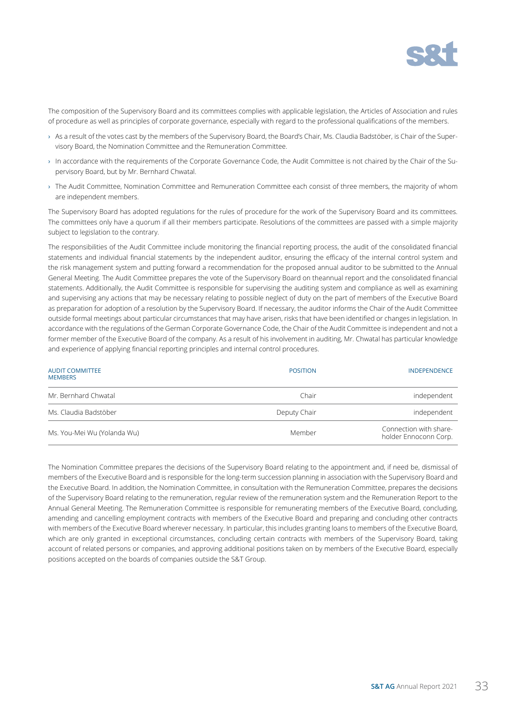

The composition of the Supervisory Board and its committees complies with applicable legislation, the Articles of Association and rules of procedure as well as principles of corporate governance, especially with regard to the professional qualifications of the members.

- › As a result of the votes cast by the members of the Supervisory Board, the Board's Chair, Ms. Claudia Badstöber, is Chair of the Supervisory Board, the Nomination Committee and the Remuneration Committee.
- › In accordance with the requirements of the Corporate Governance Code, the Audit Committee is not chaired by the Chair of the Supervisory Board, but by Mr. Bernhard Chwatal.
- › The Audit Committee, Nomination Committee and Remuneration Committee each consist of three members, the majority of whom are independent members.

The Supervisory Board has adopted regulations for the rules of procedure for the work of the Supervisory Board and its committees. The committees only have a quorum if all their members participate. Resolutions of the committees are passed with a simple majority subject to legislation to the contrary.

The responsibilities of the Audit Committee include monitoring the financial reporting process, the audit of the consolidated financial statements and individual financial statements by the independent auditor, ensuring the efficacy of the internal control system and the risk management system and putting forward a recommendation for the proposed annual auditor to be submitted to the Annual General Meeting. The Audit Committee prepares the vote of the Supervisory Board on theannual report and the consolidated financial statements. Additionally, the Audit Committee is responsible for supervising the auditing system and compliance as well as examining and supervising any actions that may be necessary relating to possible neglect of duty on the part of members of the Executive Board as preparation for adoption of a resolution by the Supervisory Board. If necessary, the auditor informs the Chair of the Audit Committee outside formal meetings about particular circumstances that may have arisen, risks that have been identified or changes in legislation. In accordance with the regulations of the German Corporate Governance Code, the Chair of the Audit Committee is independent and not a former member of the Executive Board of the company. As a result of his involvement in auditing, Mr. Chwatal has particular knowledge and experience of applying financial reporting principles and internal control procedures.

| <b>AUDIT COMMITTEE</b><br><b>MEMBERS</b> | <b>POSITION</b> | <b>INDEPENDENCE</b>                             |
|------------------------------------------|-----------------|-------------------------------------------------|
| Mr. Bernhard Chwatal                     | Chair           | independent                                     |
| Ms. Claudia Badstöber                    | Deputy Chair    | independent                                     |
| Ms. You-Mei Wu (Yolanda Wu)              | Member          | Connection with share-<br>holder Ennoconn Corp. |

The Nomination Committee prepares the decisions of the Supervisory Board relating to the appointment and, if need be, dismissal of members of the Executive Board and is responsible for the long-term succession planning in association with the Supervisory Board and the Executive Board. In addition, the Nomination Committee, in consultation with the Remuneration Committee, prepares the decisions of the Supervisory Board relating to the remuneration, regular review of the remuneration system and the Remuneration Report to the Annual General Meeting. The Remuneration Committee is responsible for remunerating members of the Executive Board, concluding, amending and cancelling employment contracts with members of the Executive Board and preparing and concluding other contracts with members of the Executive Board wherever necessary. In particular, this includes granting loans to members of the Executive Board, which are only granted in exceptional circumstances, concluding certain contracts with members of the Supervisory Board, taking account of related persons or companies, and approving additional positions taken on by members of the Executive Board, especially positions accepted on the boards of companies outside the S&T Group.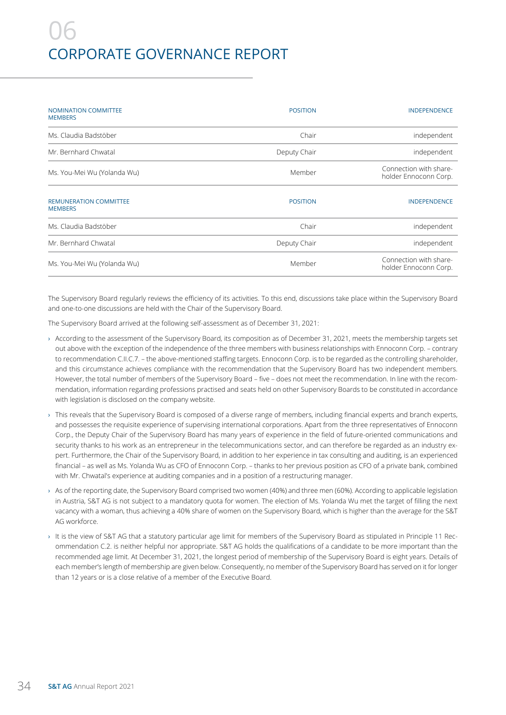## 06 CORPORATE GOVERNANCE REPORT

| <b>NOMINATION COMMITTEE</b><br><b>MEMBERS</b>   | <b>POSITION</b> | <b>INDEPENDENCE</b>                             |
|-------------------------------------------------|-----------------|-------------------------------------------------|
| Ms. Claudia Badstöber                           | Chair           | independent                                     |
| Mr. Bernhard Chwatal                            | Deputy Chair    | independent                                     |
| Ms. You-Mei Wu (Yolanda Wu)                     | Member          | Connection with share-<br>holder Ennoconn Corp. |
| <b>REMUNERATION COMMITTEE</b><br><b>MEMBERS</b> | <b>POSITION</b> | <b>INDEPENDENCE</b>                             |
| Ms. Claudia Badstöber                           | Chair           | independent                                     |
| Mr. Bernhard Chwatal                            | Deputy Chair    | independent                                     |
| Ms. You-Mei Wu (Yolanda Wu)                     | Member          | Connection with share-<br>holder Ennoconn Corp. |

The Supervisory Board regularly reviews the efficiency of its activities. To this end, discussions take place within the Supervisory Board and one-to-one discussions are held with the Chair of the Supervisory Board.

The Supervisory Board arrived at the following self-assessment as of December 31, 2021:

- › According to the assessment of the Supervisory Board, its composition as of December 31, 2021, meets the membership targets set out above with the exception of the independence of the three members with business relationships with Ennoconn Corp. – contrary to recommendation C.II.C.7. – the above-mentioned staffing targets. Ennoconn Corp. is to be regarded as the controlling shareholder, and this circumstance achieves compliance with the recommendation that the Supervisory Board has two independent members. However, the total number of members of the Supervisory Board – five – does not meet the recommendation. In line with the recommendation, information regarding professions practised and seats held on other Supervisory Boards to be constituted in accordance with legislation is disclosed on the company website.
- › This reveals that the Supervisory Board is composed of a diverse range of members, including financial experts and branch experts, and possesses the requisite experience of supervising international corporations. Apart from the three representatives of Ennoconn Corp., the Deputy Chair of the Supervisory Board has many years of experience in the field of future-oriented communications and security thanks to his work as an entrepreneur in the telecommunications sector, and can therefore be regarded as an industry expert. Furthermore, the Chair of the Supervisory Board, in addition to her experience in tax consulting and auditing, is an experienced financial – as well as Ms. Yolanda Wu as CFO of Ennoconn Corp. – thanks to her previous position as CFO of a private bank, combined with Mr. Chwatal's experience at auditing companies and in a position of a restructuring manager.
- › As of the reporting date, the Supervisory Board comprised two women (40%) and three men (60%). According to applicable legislation in Austria, S&T AG is not subject to a mandatory quota for women. The election of Ms. Yolanda Wu met the target of filling the next vacancy with a woman, thus achieving a 40% share of women on the Supervisory Board, which is higher than the average for the S&T AG workforce.
- › It is the view of S&T AG that a statutory particular age limit for members of the Supervisory Board as stipulated in Principle 11 Recommendation C.2. is neither helpful nor appropriate. S&T AG holds the qualifications of a candidate to be more important than the recommended age limit. At December 31, 2021, the longest period of membership of the Supervisory Board is eight years. Details of each member's length of membership are given below. Consequently, no member of the Supervisory Board has served on it for longer than 12 years or is a close relative of a member of the Executive Board.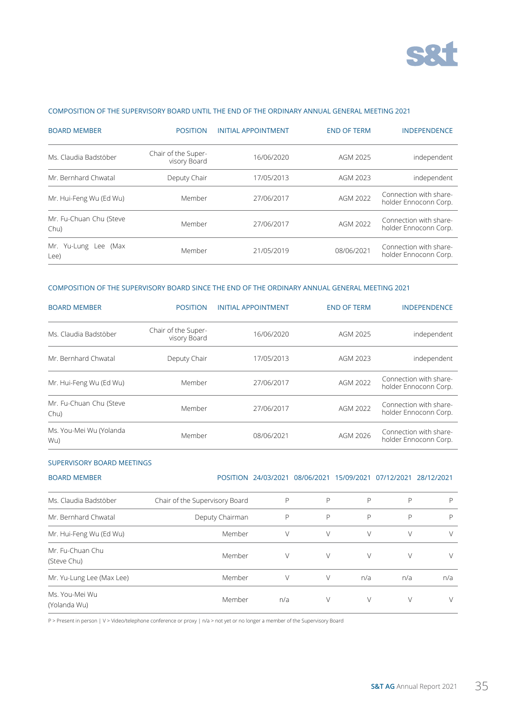

### COMPOSITION OF THE SUPERVISORY BOARD UNTIL THE END OF THE ORDINARY ANNUAL GENERAL MEETING 2021

| <b>BOARD MEMBER</b>             | <b>POSITION</b>                     | <b>INITIAL APPOINTMENT</b> | <b>END OF TERM</b> | <b>INDEPENDENCE</b>                             |
|---------------------------------|-------------------------------------|----------------------------|--------------------|-------------------------------------------------|
| Ms. Claudia Badstöber           | Chair of the Super-<br>visory Board | 16/06/2020                 | AGM 2025           | independent                                     |
| Mr. Bernhard Chwatal            | Deputy Chair                        | 17/05/2013                 | AGM 2023           | independent                                     |
| Mr. Hui-Feng Wu (Ed Wu)         | Member                              | 27/06/2017                 | AGM 2022           | Connection with share-<br>holder Ennoconn Corp. |
| Mr. Fu-Chuan Chu (Steve<br>Chu) | Member                              | 27/06/2017                 | AGM 2022           | Connection with share-<br>holder Ennoconn Corp. |
| Mr. Yu-Lung Lee (Max<br>Lee)    | Member                              | 21/05/2019                 | 08/06/2021         | Connection with share-<br>holder Ennoconn Corp. |

### COMPOSITION OF THE SUPERVISORY BOARD SINCE THE END OF THE ORDINARY ANNUAL GENERAL MEETING 2021

| <b>BOARD MEMBER</b>             | <b>POSITION</b>                     | <b>INITIAL APPOINTMENT</b> | <b>END OF TERM</b> | <b>INDEPENDENCE</b>                             |
|---------------------------------|-------------------------------------|----------------------------|--------------------|-------------------------------------------------|
| Ms. Claudia Badstöber           | Chair of the Super-<br>visory Board | 16/06/2020                 | AGM 2025           | independent                                     |
| Mr. Bernhard Chwatal            | Deputy Chair                        | 17/05/2013                 | AGM 2023           | independent                                     |
| Mr. Hui-Feng Wu (Ed Wu)         | Member                              | 27/06/2017                 | AGM 2022           | Connection with share-<br>holder Ennoconn Corp. |
| Mr. Fu-Chuan Chu (Steve<br>Chu) | Member                              | 27/06/2017                 | AGM 2022           | Connection with share-<br>holder Ennoconn Corp. |
| Ms. You-Mei Wu (Yolanda<br>Wu)  | Member                              | 08/06/2021                 | AGM 2026           | Connection with share-<br>holder Ennoconn Corp. |

#### SUPERVISORY BOARD MEETINGS

| <b>BOARD MEMBER</b>             |                                | POSITION 24/03/2021 | 08/06/2021 | 15/09/2021 | 07/12/2021 | 28/12/2021 |
|---------------------------------|--------------------------------|---------------------|------------|------------|------------|------------|
| Ms. Claudia Badstöber           | Chair of the Supervisory Board | P                   | P          | P          | P          | P          |
| Mr. Bernhard Chwatal            | Deputy Chairman                | P                   | P          | P          | P          | P          |
| Mr. Hui-Feng Wu (Ed Wu)         | Member                         | V                   | V          | V          | V          | V          |
| Mr. Fu-Chuan Chu<br>(Steve Chu) | Member                         | V                   | V          | V          | $\vee$     | V          |
| Mr. Yu-Lung Lee (Max Lee)       | Member                         | V                   | V          | n/a        | n/a        | n/a        |
| Ms. You-Mei Wu<br>(Yolanda Wu)  | Member                         | n/a                 | V          | V          | V          | V          |

P > Present in person | V > Video/telephone conference or proxy | n/a > not yet or no longer a member of the Supervisory Board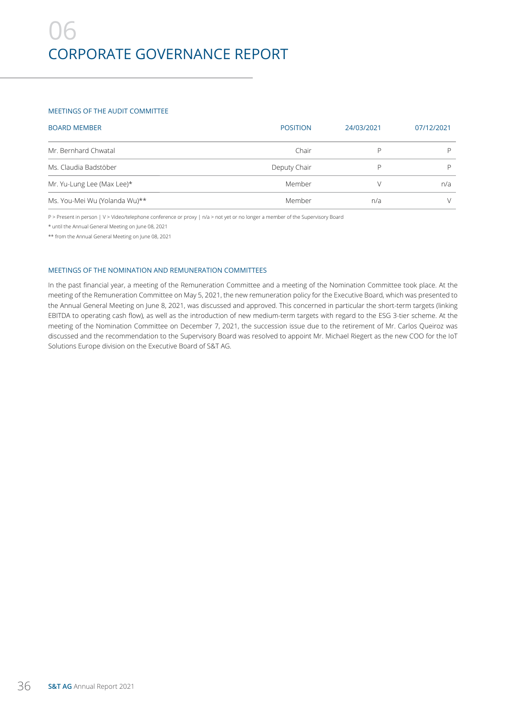### MEETINGS OF THE AUDIT COMMITTEE

| <b>BOARD MEMBER</b>           | <b>POSITION</b> | 24/03/2021 | 07/12/2021 |
|-------------------------------|-----------------|------------|------------|
| Mr. Bernhard Chwatal          | Chair           |            |            |
| Ms. Claudia Badstöber         | Deputy Chair    |            |            |
| Mr. Yu-Lung Lee (Max Lee)*    | Member          |            | n/a        |
| Ms. You-Mei Wu (Yolanda Wu)** | Member          | n/a        |            |

P > Present in person | V > Video/telephone conference or proxy | n/a > not yet or no longer a member of the Supervisory Board

\* until the Annual General Meeting on June 08, 2021

\*\* from the Annual General Meeting on June 08, 2021

#### MEETINGS OF THE NOMINATION AND REMUNERATION COMMITTEES

In the past financial year, a meeting of the Remuneration Committee and a meeting of the Nomination Committee took place. At the meeting of the Remuneration Committee on May 5, 2021, the new remuneration policy for the Executive Board, which was presented to the Annual General Meeting on June 8, 2021, was discussed and approved. This concerned in particular the short-term targets (linking EBITDA to operating cash flow), as well as the introduction of new medium-term targets with regard to the ESG 3-tier scheme. At the meeting of the Nomination Committee on December 7, 2021, the succession issue due to the retirement of Mr. Carlos Queiroz was discussed and the recommendation to the Supervisory Board was resolved to appoint Mr. Michael Riegert as the new COO for the IoT Solutions Europe division on the Executive Board of S&T AG.